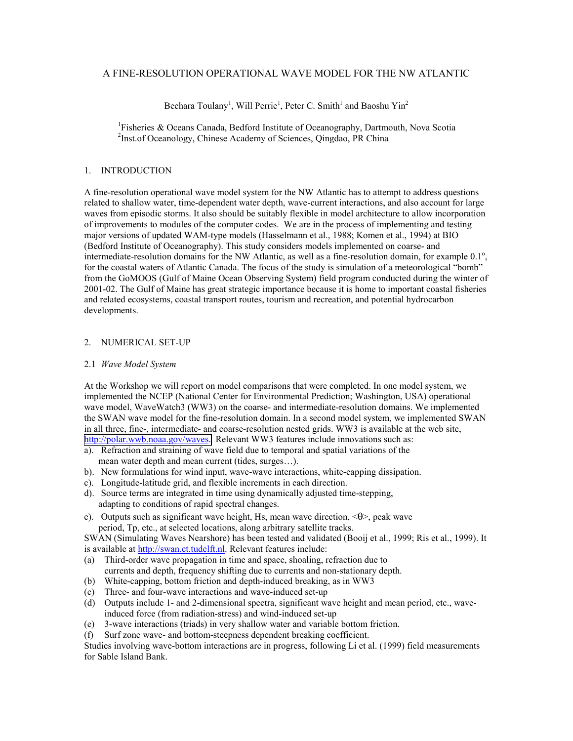# A FINE-RESOLUTION OPERATIONAL WAVE MODEL FOR THE NW ATLANTIC

Bechara Toulany<sup>1</sup>, Will Perrie<sup>1</sup>, Peter C. Smith<sup>1</sup> and Baoshu Yin<sup>2</sup>

<sup>1</sup>Fisheries & Oceans Canada, Bedford Institute of Oceanography, Dartmouth, Nova Scotia <sup>2</sup>Inst.of Oceanology, Chinese Academy of Sciences, Qingdao, PR China

## 1. INTRODUCTION

A fine-resolution operational wave model system for the NW Atlantic has to attempt to address questions related to shallow water, time-dependent water depth, wave-current interactions, and also account for large waves from episodic storms. It also should be suitably flexible in model architecture to allow incorporation of improvements to modules of the computer codes. We are in the process of implementing and testing major versions of updated WAM-type models (Hasselmann et al., 1988; Komen et al., 1994) at BIO (Bedford Institute of Oceanography). This study considers models implemented on coarse- and intermediate-resolution domains for the NW Atlantic, as well as a fine-resolution domain, for example 0.1°, for the coastal waters of Atlantic Canada. The focus of the study is simulation of a meteorological "bomb" from the GoMOOS (Gulf of Maine Ocean Observing System) field program conducted during the winter of 2001-02. The Gulf of Maine has great strategic importance because it is home to important coastal fisheries and related ecosystems, coastal transport routes, tourism and recreation, and potential hydrocarbon developments.

## 2. NUMERICAL SET-UP

### 2.1 *Wave Model System*

At the Workshop we will report on model comparisons that were completed. In one model system, we implemented the NCEP (National Center for Environmental Prediction; Washington, USA) operational wave model, WaveWatch3 (WW3) on the coarse- and intermediate-resolution domains. We implemented the SWAN wave model for the fine-resolution domain. In a second model system, we implemented SWAN in all three, fine-, intermediate- and coarse-resolution nested grids. WW3 is available at the web site, [http://polar.wwb.noaa.gov/waves.](http://polar.wwb.noaa.gov/waves)) Relevant WW3 features include innovations such as:

- a). Refraction and straining of wave field due to temporal and spatial variations of the mean water depth and mean current (tides, surges…).
- b). New formulations for wind input, wave-wave interactions, white-capping dissipation.
- c). Longitude-latitude grid, and flexible increments in each direction.
- d). Source terms are integrated in time using dynamically adjusted time-stepping, adapting to conditions of rapid spectral changes.
- e). Outputs such as significant wave height, Hs, mean wave direction, <θ>, peak wave period, Tp, etc., at selected locations, along arbitrary satellite tracks.

SWAN (Simulating Waves Nearshore) has been tested and validated (Booij et al., 1999; Ris et al., 1999). It is available at http://swan.ct.tudelft.nl. Relevant features include:

- (a) Third-order wave propagation in time and space, shoaling, refraction due to currents and depth, frequency shifting due to currents and non-stationary depth.
- (b) White-capping, bottom friction and depth-induced breaking, as in WW3
- (c) Three- and four-wave interactions and wave-induced set-up
- (d) Outputs include 1- and 2-dimensional spectra, significant wave height and mean period, etc., waveinduced force (from radiation-stress) and wind-induced set-up
- (e) 3-wave interactions (triads) in very shallow water and variable bottom friction.
- (f) Surf zone wave- and bottom-steepness dependent breaking coefficient.

Studies involving wave-bottom interactions are in progress, following Li et al. (1999) field measurements for Sable Island Bank.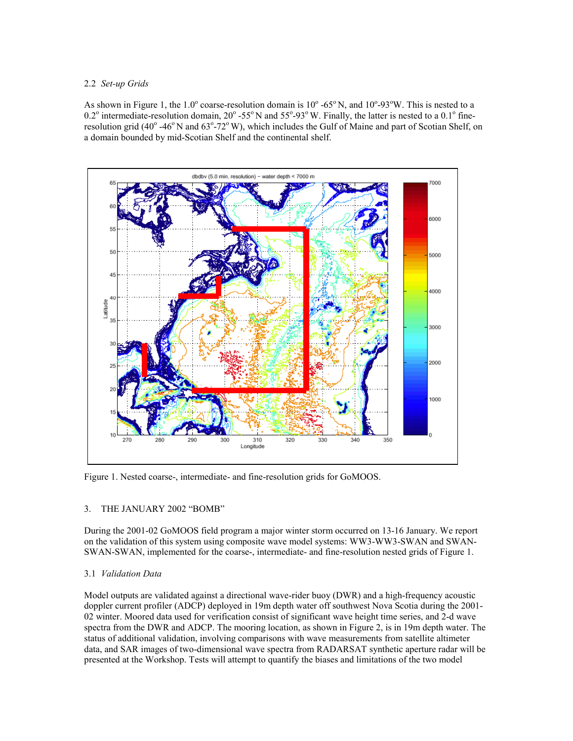## 2.2 *Set-up Grids*

As shown in Figure 1, the  $1.0^{\circ}$  coarse-resolution domain is  $10^{\circ}$  -65°N, and  $10^{\circ}$ -93°W. This is nested to a  $0.2^{\circ}$  intermediate-resolution domain,  $20^{\circ}$  -55°N and 55°-93°W. Finally, the latter is nested to a 0.1° fineresolution grid (40° -46°N and 63°-72°W), which includes the Gulf of Maine and part of Scotian Shelf, on a domain bounded by mid-Scotian Shelf and the continental shelf.



Figure 1. Nested coarse-, intermediate- and fine-resolution grids for GoMOOS.

# 3. THE JANUARY 2002 "BOMB"

During the 2001-02 GoMOOS field program a major winter storm occurred on 13-16 January. We report on the validation of this system using composite wave model systems: WW3-WW3-SWAN and SWAN-SWAN-SWAN, implemented for the coarse-, intermediate- and fine-resolution nested grids of Figure 1.

# 3.1 *Validation Data*

Model outputs are validated against a directional wave-rider buoy (DWR) and a high-frequency acoustic doppler current profiler (ADCP) deployed in 19m depth water off southwest Nova Scotia during the 2001- 02 winter. Moored data used for verification consist of significant wave height time series, and 2-d wave spectra from the DWR and ADCP. The mooring location, as shown in Figure 2, is in 19m depth water. The status of additional validation, involving comparisons with wave measurements from satellite altimeter data, and SAR images of two-dimensional wave spectra from RADARSAT synthetic aperture radar will be presented at the Workshop. Tests will attempt to quantify the biases and limitations of the two model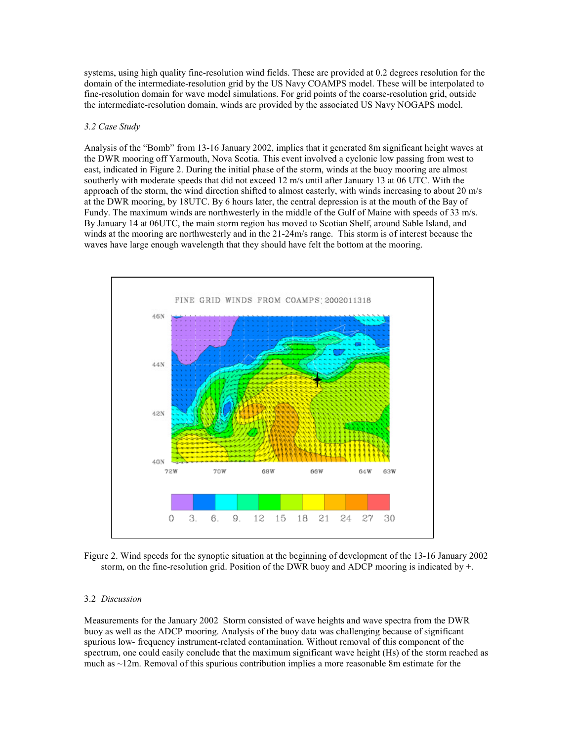systems, using high quality fine-resolution wind fields. These are provided at 0.2 degrees resolution for the domain of the intermediate-resolution grid by the US Navy COAMPS model. These will be interpolated to fine-resolution domain for wave model simulations. For grid points of the coarse-resolution grid, outside the intermediate-resolution domain, winds are provided by the associated US Navy NOGAPS model.

### *3.2 Case Study*

Analysis of the "Bomb" from 13-16 January 2002, implies that it generated 8m significant height waves at the DWR mooring off Yarmouth, Nova Scotia. This event involved a cyclonic low passing from west to east, indicated in Figure 2. During the initial phase of the storm, winds at the buoy mooring are almost southerly with moderate speeds that did not exceed 12 m/s until after January 13 at 06 UTC. With the approach of the storm, the wind direction shifted to almost easterly, with winds increasing to about 20 m/s at the DWR mooring, by 18UTC. By 6 hours later, the central depression is at the mouth of the Bay of Fundy. The maximum winds are northwesterly in the middle of the Gulf of Maine with speeds of 33 m/s. By January 14 at 06UTC, the main storm region has moved to Scotian Shelf, around Sable Island, and winds at the mooring are northwesterly and in the 21-24m/s range. This storm is of interest because the waves have large enough wavelength that they should have felt the bottom at the mooring.



Figure 2. Wind speeds for the synoptic situation at the beginning of development of the 13-16 January 2002 storm, on the fine-resolution grid. Position of the DWR buoy and ADCP mooring is indicated by +.

#### 3.2 *Discussion*

Measurements for the January 2002 Storm consisted of wave heights and wave spectra from the DWR buoy as well as the ADCP mooring. Analysis of the buoy data was challenging because of significant spurious low- frequency instrument-related contamination. Without removal of this component of the spectrum, one could easily conclude that the maximum significant wave height (Hs) of the storm reached as much as  $\sim$ 12m. Removal of this spurious contribution implies a more reasonable 8m estimate for the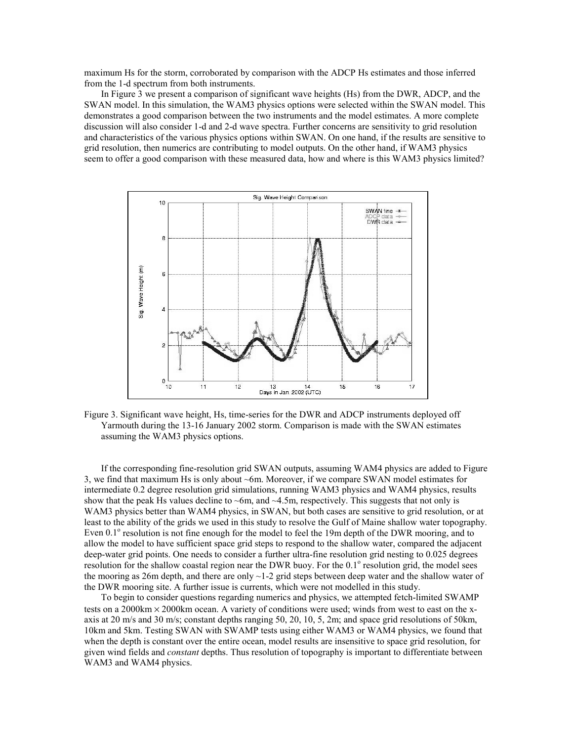maximum Hs for the storm, corroborated by comparison with the ADCP Hs estimates and those inferred from the 1-d spectrum from both instruments.

In Figure 3 we present a comparison of significant wave heights (Hs) from the DWR, ADCP, and the SWAN model. In this simulation, the WAM3 physics options were selected within the SWAN model. This demonstrates a good comparison between the two instruments and the model estimates. A more complete discussion will also consider 1-d and 2-d wave spectra. Further concerns are sensitivity to grid resolution and characteristics of the various physics options within SWAN. On one hand, if the results are sensitive to grid resolution, then numerics are contributing to model outputs. On the other hand, if WAM3 physics seem to offer a good comparison with these measured data, how and where is this WAM3 physics limited?



Figure 3. Significant wave height, Hs, time-series for the DWR and ADCP instruments deployed off Yarmouth during the 13-16 January 2002 storm. Comparison is made with the SWAN estimates assuming the WAM3 physics options.

If the corresponding fine-resolution grid SWAN outputs, assuming WAM4 physics are added to Figure 3, we find that maximum Hs is only about ~6m. Moreover, if we compare SWAN model estimates for intermediate 0.2 degree resolution grid simulations, running WAM3 physics and WAM4 physics, results show that the peak Hs values decline to  $\sim$ 6m, and  $\sim$ 4.5m, respectively. This suggests that not only is WAM3 physics better than WAM4 physics, in SWAN, but both cases are sensitive to grid resolution, or at least to the ability of the grids we used in this study to resolve the Gulf of Maine shallow water topography. Even  $0.1^\circ$  resolution is not fine enough for the model to feel the 19m depth of the DWR mooring, and to allow the model to have sufficient space grid steps to respond to the shallow water, compared the adjacent deep-water grid points. One needs to consider a further ultra-fine resolution grid nesting to 0.025 degrees resolution for the shallow coastal region near the DWR buoy. For the 0.1° resolution grid, the model sees the mooring as 26m depth, and there are only  $\sim$  1-2 grid steps between deep water and the shallow water of the DWR mooring site. A further issue is currents, which were not modelled in this study.

To begin to consider questions regarding numerics and physics, we attempted fetch-limited SWAMP tests on a 2000km  $\times$  2000km ocean. A variety of conditions were used; winds from west to east on the xaxis at 20 m/s and 30 m/s; constant depths ranging 50, 20, 10, 5, 2m; and space grid resolutions of 50km, 10km and 5km. Testing SWAN with SWAMP tests using either WAM3 or WAM4 physics, we found that when the depth is constant over the entire ocean, model results are insensitive to space grid resolution, for given wind fields and *constant* depths. Thus resolution of topography is important to differentiate between WAM3 and WAM4 physics.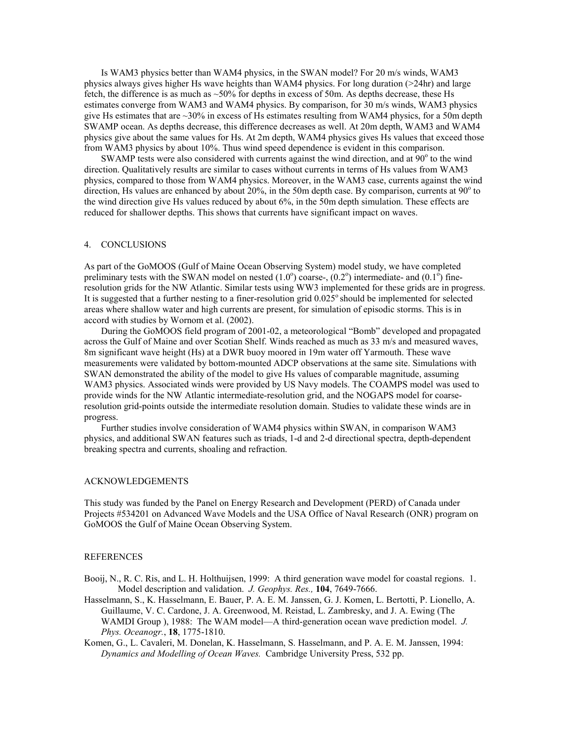Is WAM3 physics better than WAM4 physics, in the SWAN model? For 20 m/s winds, WAM3 physics always gives higher Hs wave heights than WAM4 physics. For long duration (>24hr) and large fetch, the difference is as much as ~50% for depths in excess of 50m. As depths decrease, these Hs estimates converge from WAM3 and WAM4 physics. By comparison, for 30 m/s winds, WAM3 physics give Hs estimates that are  $\sim$ 30% in excess of Hs estimates resulting from WAM4 physics, for a 50m depth SWAMP ocean. As depths decrease, this difference decreases as well. At 20m depth, WAM3 and WAM4 physics give about the same values for Hs. At 2m depth, WAM4 physics gives Hs values that exceed those from WAM3 physics by about 10%. Thus wind speed dependence is evident in this comparison.

SWAMP tests were also considered with currents against the wind direction, and at  $90^\circ$  to the wind direction. Qualitatively results are similar to cases without currents in terms of Hs values from WAM3 physics, compared to those from WAM4 physics. Moreover, in the WAM3 case, currents against the wind direction, Hs values are enhanced by about 20%, in the 50m depth case. By comparison, currents at  $90^\circ$  to the wind direction give Hs values reduced by about 6%, in the 50m depth simulation. These effects are reduced for shallower depths. This shows that currents have significant impact on waves.

#### 4. CONCLUSIONS

As part of the GoMOOS (Gulf of Maine Ocean Observing System) model study, we have completed preliminary tests with the SWAN model on nested  $(1.0^{\circ})$  coarse-,  $(0.2^{\circ})$  intermediate- and  $(0.1^{\circ})$  fineresolution grids for the NW Atlantic. Similar tests using WW3 implemented for these grids are in progress. It is suggested that a further nesting to a finer-resolution grid  $0.025^\circ$  should be implemented for selected areas where shallow water and high currents are present, for simulation of episodic storms. This is in accord with studies by Wornom et al. (2002).

During the GoMOOS field program of 2001-02, a meteorological "Bomb" developed and propagated across the Gulf of Maine and over Scotian Shelf. Winds reached as much as 33 m/s and measured waves, 8m significant wave height (Hs) at a DWR buoy moored in 19m water off Yarmouth. These wave measurements were validated by bottom-mounted ADCP observations at the same site. Simulations with SWAN demonstrated the ability of the model to give Hs values of comparable magnitude, assuming WAM3 physics. Associated winds were provided by US Navy models. The COAMPS model was used to provide winds for the NW Atlantic intermediate-resolution grid, and the NOGAPS model for coarseresolution grid-points outside the intermediate resolution domain. Studies to validate these winds are in progress.

Further studies involve consideration of WAM4 physics within SWAN, in comparison WAM3 physics, and additional SWAN features such as triads, 1-d and 2-d directional spectra, depth-dependent breaking spectra and currents, shoaling and refraction.

#### ACKNOWLEDGEMENTS

This study was funded by the Panel on Energy Research and Development (PERD) of Canada under Projects #534201 on Advanced Wave Models and the USA Office of Naval Research (ONR) program on GoMOOS the Gulf of Maine Ocean Observing System.

## **REFERENCES**

Booij, N., R. C. Ris, and L. H. Holthuijsen, 1999: A third generation wave model for coastal regions. 1. Model description and validation. *J. Geophys. Res.,* **104**, 7649-7666.

Hasselmann, S., K. Hasselmann, E. Bauer, P. A. E. M. Janssen, G. J. Komen, L. Bertotti, P. Lionello, A. Guillaume, V. C. Cardone, J. A. Greenwood, M. Reistad, L. Zambresky, and J. A. Ewing (The WAMDI Group ), 1988: The WAM model—A third-generation ocean wave prediction model. *J. Phys. Oceanogr.*, **18**, 1775-1810.

Komen, G., L. Cavaleri, M. Donelan, K. Hasselmann, S. Hasselmann, and P. A. E. M. Janssen, 1994: *Dynamics and Modelling of Ocean Waves.* Cambridge University Press, 532 pp.